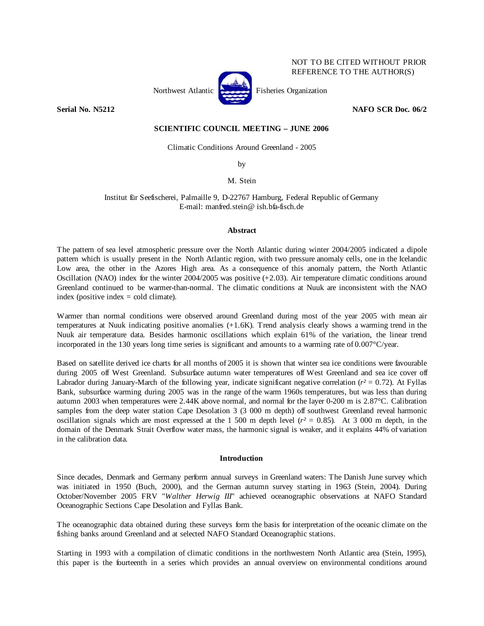

REFERENCE TO THE AUTHOR(S)

NOT TO BE CITED WITHOUT PRIOR

**Serial No. N5212 NAFO SCR Doc. 06/2** 

# **SCIENTIFIC COUNCIL MEETING – JUNE 2006**

Climatic Conditions Around Greenland - 2005

by

M. Stein

Institut für Seefischerei, Palmaille 9, D-22767 Hamburg, Federal Republic of Germany E-mail: manfred.stein@ ish.bfa-fisch.de

## **Abstract**

The pattern of sea level atmospheric pressure over the North Atlantic during winter 2004/2005 indicated a dipole pattern which is usually present in the North Atlantic region, with two pressure anomaly cells, one in the Icelandic Low area, the other in the Azores High area. As a consequence of this anomaly pattern, the North Atlantic Oscillation (NAO) index for the winter  $2004/2005$  was positive  $(+2.03)$ . Air temperature climatic conditions around Greenland continued to be warmer-than-normal. The climatic conditions at Nuuk are inconsistent with the NAO index (positive index  $=$  cold climate).

Warmer than normal conditions were observed around Greenland during most of the year 2005 with mean air temperatures at Nuuk indicating positive anomalies (+1.6K). Trend analysis clearly shows a warming trend in the Nuuk air temperature data. Besides harmonic oscillations which explain 61% of the variation, the linear trend incorporated in the 130 years long time series is significant and amounts to a warming rate of 0.007°C/year.

Based on satellite derived ice charts for all months of 2005 it is shown that winter sea ice conditions were favourable during 2005 off West Greenland. Subsurface autumn water temperatures off West Greenland and sea ice cover off Labrador during January-March of the following year, indicate significant negative correlation  $(r^2 = 0.72)$ . At Fyllas Bank, subsurface warming during 2005 was in the range of the warm 1960s temperatures, but was less than during autumn 2003 when temperatures were 2.44K above normal, and normal for the layer 0-200 m is 2.87°C. Calibration samples from the deep water station Cape Desolation 3 (3 000 m depth) off southwest Greenland reveal harmonic oscillation signals which are most expressed at the 1 500 m depth level  $(r^2 = 0.85)$ . At 3 000 m depth, in the domain of the Denmark Strait Overflow water mass, the harmonic signal is weaker, and it explains 44% of variation in the calibration data.

## **Introduction**

Since decades, Denmark and Germany perform annual surveys in Greenland waters: The Danish June survey which was initiated in 1950 (Buch, 2000), and the German autumn survey starting in 1963 (Stein, 2004). During October/November 2005 FRV "*Walther Herwig III*" achieved oceanographic observations at NAFO Standard Oceanographic Sections Cape Desolation and Fyllas Bank.

The oceanographic data obtained during these surveys form the basis for interpretation of the oceanic climate on the fishing banks around Greenland and at selected NAFO Standard Oceanographic stations.

Starting in 1993 with a compilation of climatic conditions in the northwestern North Atlantic area (Stein, 1995), this paper is the fourteenth in a series which provides an annual overview on environmental conditions around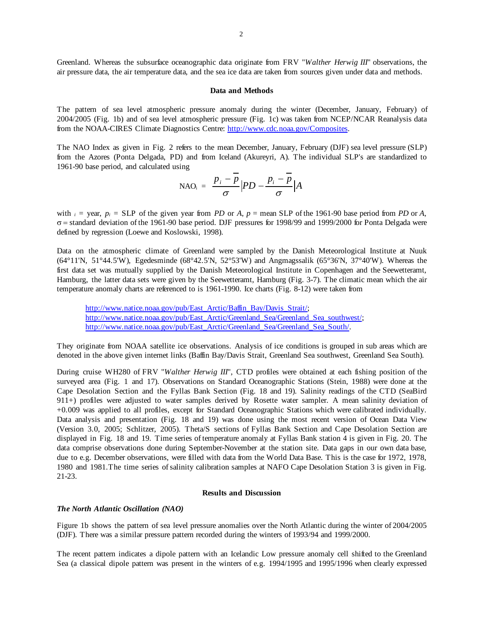Greenland. Whereas the subsurface oceanographic data originate from FRV "*Walther Herwig III*" observations, the air pressure data, the air temperature data, and the sea ice data are taken from sources given under data and methods.

## **Data and Methods**

The pattern of sea level atmospheric pressure anomaly during the winter (December, January, February) of 2004/2005 (Fig. 1b) and of sea level atmospheric pressure (Fig. 1c) was taken from NCEP/NCAR Reanalysis data from the NOAA-CIRES Climate Diagnostics Centre: http://www.cdc.noaa.gov/Composites.

The NAO Index as given in Fig. 2 refers to the mean December, January, February (DJF) sea level pressure (SLP) from the Azores (Ponta Delgada, PD) and from Iceland (Akureyri, A). The individual SLP's are standardized to 1961-90 base period, and calculated using

$$
\text{NAO}_{i} = \frac{p_{i} - \overline{p}}{\sigma} \Big| PD - \frac{p_{i} - \overline{p}}{\sigma} \Big| A
$$

with  $i =$  year,  $p_i =$  SLP of the given year from *PD* or *A*,  $p =$  mean SLP of the 1961-90 base period from *PD* or *A*, σ = standard deviation of the 1961-90 base period. DJF pressures for 1998/99 and 1999/2000 for Ponta Delgada were defined by regression (Loewe and Koslowski, 1998).

Data on the atmospheric climate of Greenland were sampled by the Danish Meteorological Institute at Nuuk (64°11'N, 51°44.5'W), Egedesminde (68°42.5'N, 52°53'W) and Angmagssalik (65°36'N, 37°40'W). Whereas the first data set was mutually supplied by the Danish Meteorological Institute in Copenhagen and the Seewetteramt, Hamburg, the latter data sets were given by the Seewetteramt, Hamburg (Fig. 3-7). The climatic mean which the air temperature anomaly charts are referenced to is 1961-1990. Ice charts (Fig. 8-12) were taken from

http://www.natice.noaa.gov/pub/East\_Arctic/Baffin\_Bay/Davis\_Strait/; http://www.natice.noaa.gov/pub/East\_Arctic/Greenland\_Sea/Greenland\_Sea\_southwest/; http://www.natice.noaa.gov/pub/East\_Arctic/Greenland\_Sea/Greenland\_Sea\_South/.

They originate from NOAA satellite ice observations. Analysis of ice conditions is grouped in sub areas which are denoted in the above given internet links (Baffin Bay/Davis Strait, Greenland Sea southwest, Greenland Sea South).

During cruise WH280 of FRV "*Walther Herwig III*", CTD profiles were obtained at each fishing position of the surveyed area (Fig. 1 and 17). Observations on Standard Oceanographic Stations (Stein, 1988) were done at the Cape Desolation Section and the Fyllas Bank Section (Fig. 18 and 19). Salinity readings of the CTD (SeaBird 911+) profiles were adjusted to water samples derived by Rosette water sampler. A mean salinity deviation of +0.009 was applied to all profiles, except for Standard Oceanographic Stations which were calibrated individually. Data analysis and presentation (Fig. 18 and 19) was done using the most recent version of Ocean Data View (Version 3.0, 2005; Schlitzer, 2005). Theta/S sections of Fyllas Bank Section and Cape Desolation Section are displayed in Fig. 18 and 19. Time series of temperature anomaly at Fyllas Bank station 4 is given in Fig. 20. The data comprise observations done during September-November at the station site. Data gaps in our own data base, due to e.g. December observations, were filled with data from the World Data Base. This is the case for 1972, 1978, 1980 and 1981.The time series of salinity calibration samples at NAFO Cape Desolation Station 3 is given in Fig. 21-23.

#### **Results and Discussion**

## *The North Atlantic Oscillation (NAO)*

Figure 1b shows the pattern of sea level pressure anomalies over the North Atlantic during the winter of 2004/2005 (DJF). There was a similar pressure pattern recorded during the winters of 1993/94 and 1999/2000.

The recent pattern indicates a dipole pattern with an Icelandic Low pressure anomaly cell shifted to the Greenland Sea (a classical dipole pattern was present in the winters of e.g. 1994/1995 and 1995/1996 when clearly expressed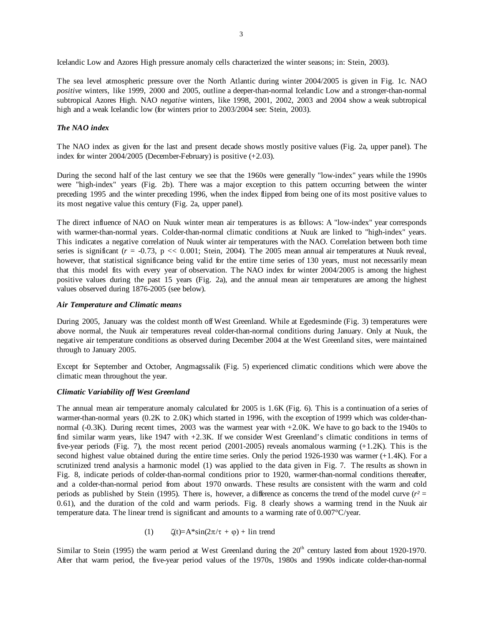Icelandic Low and Azores High pressure anomaly cells characterized the winter seasons; in: Stein, 2003).

The sea level atmospheric pressure over the North Atlantic during winter 2004/2005 is given in Fig. 1c. NAO *positive* winters, like 1999, 2000 and 2005, outline a deeper-than-normal Icelandic Low and a stronger-than-normal subtropical Azores High. NAO *negative* winters, like 1998, 2001, 2002, 2003 and 2004 show a weak subtropical high and a weak Icelandic low (for winters prior to 2003/2004 see: Stein, 2003).

# *The NAO index*

The NAO index as given for the last and present decade shows mostly positive values (Fig. 2a, upper panel). The index for winter 2004/2005 (December-February) is positive (+2.03).

During the second half of the last century we see that the 1960s were generally "low-index" years while the 1990s were "high-index" years (Fig. 2b). There was a major exception to this pattern occurring between the winter preceding 1995 and the winter preceding 1996, when the index flipped from being one of its most positive values to its most negative value this century (Fig. 2a, upper panel).

The direct influence of NAO on Nuuk winter mean air temperatures is as follows: A "low-index" year corresponds with warmer-than-normal years. Colder-than-normal climatic conditions at Nuuk are linked to "high-index" years. This indicates a negative correlation of Nuuk winter air temperatures with the NAO. Correlation between both time series is significant ( $r = -0.73$ , p << 0.001; Stein, 2004). The 2005 mean annual air temperatures at Nuuk reveal, however, that statistical significance being valid for the entire time series of 130 years, must not necessarily mean that this model fits with every year of observation. The NAO index for winter 2004/2005 is among the highest positive values during the past 15 years (Fig. 2a), and the annual mean air temperatures are among the highest values observed during 1876-2005 (see below).

### *Air Temperature and Climatic means*

During 2005, January was the coldest month off West Greenland. While at Egedesminde (Fig. 3) temperatures were above normal, the Nuuk air temperatures reveal colder-than-normal conditions during January. Only at Nuuk, the negative air temperature conditions as observed during December 2004 at the West Greenland sites, were maintained through to January 2005.

Except for September and October, Angmagssalik (Fig. 5) experienced climatic conditions which were above the climatic mean throughout the year.

## *Climatic Variability off West Greenland*

The annual mean air temperature anomaly calculated for 2005 is 1.6K (Fig. 6). This is a continuation of a series of warmer-than-normal years (0.2K to 2.0K) which started in 1996, with the exception of 1999 which was colder-thannormal (-0.3K). During recent times, 2003 was the warmest year with +2.0K. We have to go back to the 1940s to find similar warm years, like 1947 with  $+2.3K$ . If we consider West Greenland's climatic conditions in terms of five-year periods (Fig. 7), the most recent period (2001-2005) reveals anomalous warming (+1.2K). This is the second highest value obtained during the entire time series. Only the period 1926-1930 was warmer (+1.4K). For a scrutinized trend analysis a harmonic model (1) was applied to the data given in Fig. 7. The results as shown in Fig. 8, indicate periods of colder-than-normal conditions prior to 1920, warmer-than-normal conditions thereafter, and a colder-than-normal period from about 1970 onwards. These results are consistent with the warm and cold periods as published by Stein (1995). There is, however, a difference as concerns the trend of the model curve  $(r^2 =$ 0.61), and the duration of the cold and warm periods. Fig. 8 clearly shows a warming trend in the Nuuk air temperature data. The linear trend is significant and amounts to a warming rate of 0.007°C/year.

(1) 
$$
\zeta(t) = A^* \sin(2\pi/\tau + \varphi) + \text{lin trend}
$$

Similar to Stein (1995) the warm period at West Greenland during the  $20<sup>th</sup>$  century lasted from about 1920-1970. After that warm period, the five-year period values of the 1970s, 1980s and 1990s indicate colder-than-normal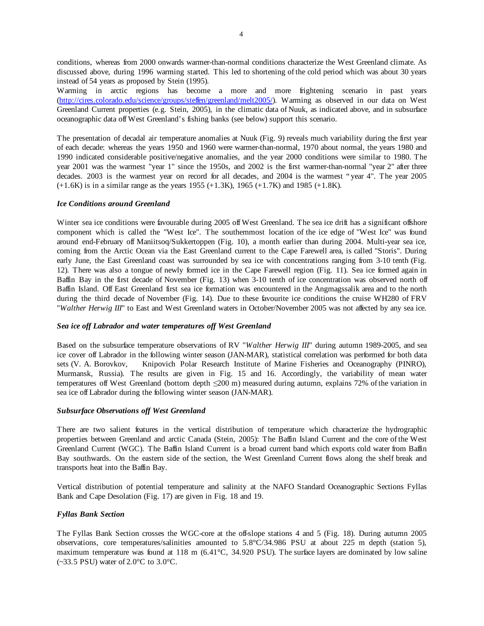conditions, whereas from 2000 onwards warmer-than-normal conditions characterize the West Greenland climate. As discussed above, during 1996 warming started. This led to shortening of the cold period which was about 30 years instead of 54 years as proposed by Stein (1995).

Warming in arctic regions has become a more and more frightening scenario in past years (http://cires.colorado.edu/science/groups/steffen/greenland/melt2005/). Warming as observed in our data on West Greenland Current properties (e.g. Stein, 2005), in the climatic data of Nuuk, as indicated above, and in subsurface oceanographic data off West Greenland's fishing banks (see below) support this scenario.

The presentation of decadal air temperature anomalies at Nuuk (Fig. 9) reveals much variability during the first year of each decade: whereas the years 1950 and 1960 were warmer-than-normal, 1970 about normal, the years 1980 and 1990 indicated considerable positive/negative anomalies, and the year 2000 conditions were similar to 1980. The year 2001 was the warmest "year 1" since the 1950s, and 2002 is the first warmer-than-normal "year 2" after three decades. 2003 is the warmest year on record for all decades, and 2004 is the warmest "year 4". The year 2005  $(+1.6K)$  is in a similar range as the years 1955  $(+1.3K)$ , 1965  $(+1.7K)$  and 1985  $(+1.8K)$ .

## *Ice Conditions around Greenland*

Winter sea ice conditions were favourable during 2005 off West Greenland. The sea ice drift has a significant offshore component which is called the "West Ice". The southernmost location of the ice edge of "West Ice" was found around end-February off Maniitsoq/Sukkertoppen (Fig. 10), a month earlier than during 2004. Multi-year sea ice, coming from the Arctic Ocean via the East Greenland current to the Cape Farewell area, is called "Storis". During early June, the East Greenland coast was surrounded by sea ice with concentrations ranging from 3-10 tenth (Fig. 12). There was also a tongue of newly formed ice in the Cape Farewell region (Fig. 11). Sea ice formed again in Baffin Bay in the first decade of November (Fig. 13) when 3-10 tenth of ice concentration was observed north off Baffin Island. Off East Greenland first sea ice formation was encountered in the Angmagssalik area and to the north during the third decade of November (Fig. 14). Due to these favourite ice conditions the cruise WH280 of FRV "*Walther Herwig III*" to East and West Greenland waters in October/November 2005 was not affected by any sea ice.

## *Sea ice off Labrador and water temperatures off West Greenland*

Based on the subsurface temperature observations of RV "*Walther Herwig III*" during autumn 1989-2005, and sea ice cover off Labrador in the following winter season (JAN-MAR), statistical correlation was performed for both data sets (V. A. Borovkov, Knipovich Polar Research Institute of Marine Fisheries and Oceanography (PINRO), Murmansk, Russia). The results are given in Fig. 15 and 16. Accordingly, the variability of mean water temperatures off West Greenland (bottom depth ≤200 m) measured during autumn, explains 72% of the variation in sea ice off Labrador during the following winter season (JAN-MAR).

## *Subsurface Observations off West Greenland*

There are two salient features in the vertical distribution of temperature which characterize the hydrographic properties between Greenland and arctic Canada (Stein, 2005): The Baffin Island Current and the core of the West Greenland Current (WGC). The Baffin Island Current is a broad current band which exports cold water from Baffin Bay southwards. On the eastern side of the section, the West Greenland Current flows along the shelf break and transports heat into the Baffin Bay.

Vertical distribution of potential temperature and salinity at the NAFO Standard Oceanographic Sections Fyllas Bank and Cape Desolation (Fig. 17) are given in Fig. 18 and 19.

# *Fyllas Bank Section*

The Fyllas Bank Section crosses the WGC-core at the off-slope stations 4 and 5 (Fig. 18). During autumn 2005 observations, core temperatures/salinities amounted to 5.8°C/34.986 PSU at about 225 m depth (station 5), maximum temperature was found at 118 m (6.41°C, 34.920 PSU). The surface layers are dominated by low saline  $(-33.5 \text{ PSU})$  water of  $2.0^{\circ}$ C to  $3.0^{\circ}$ C.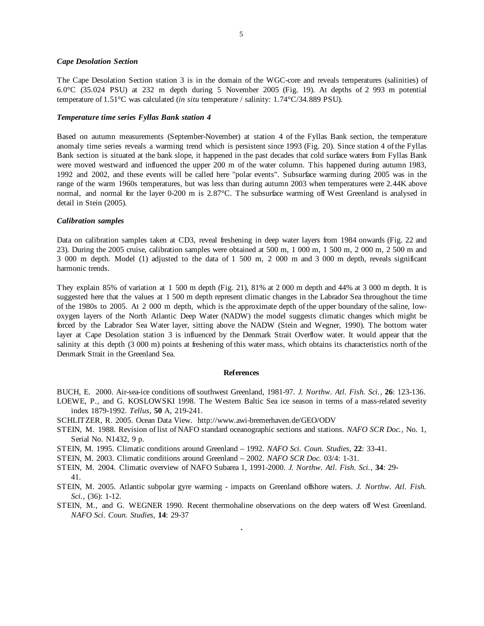#### *Cape Desolation Section*

The Cape Desolation Section station 3 is in the domain of the WGC-core and reveals temperatures (salinities) of 6.0°C (35.024 PSU) at 232 m depth during 5 November 2005 (Fig. 19). At depths of 2 993 m potential temperature of 1.51°C was calculated (*in situ* temperature / salinity: 1.74°C/34.889 PSU).

### *Temperature time series Fyllas Bank station 4*

Based on autumn measurements (September-November) at station 4 of the Fyllas Bank section, the temperature anomaly time series reveals a warming trend which is persistent since 1993 (Fig. 20). Since station 4 of the Fyllas Bank section is situated at the bank slope, it happened in the past decades that cold surface waters from Fyllas Bank were moved westward and influenced the upper 200 m of the water column. This happened during autumn 1983, 1992 and 2002, and these events will be called here "polar events". Subsurface warming during 2005 was in the range of the warm 1960s temperatures, but was less than during autumn 2003 when temperatures were 2.44K above normal, and normal for the layer 0-200 m is 2.87°C. The subsurface warming off West Greenland is analysed in detail in Stein (2005).

### *Calibration samples*

Data on calibration samples taken at CD3, reveal freshening in deep water layers from 1984 onwards (Fig. 22 and 23). During the 2005 cruise, calibration samples were obtained at 500 m, 1 000 m, 1 500 m, 2 000 m, 2 500 m and 3 000 m depth. Model (1) adjusted to the data of 1 500 m, 2 000 m and 3 000 m depth, reveals significant harmonic trends.

They explain 85% of variation at 1 500 m depth (Fig. 21), 81% at 2 000 m depth and 44% at 3 000 m depth. It is suggested here that the values at 1 500 m depth represent climatic changes in the Labrador Sea throughout the time of the 1980s to 2005. At 2 000 m depth, which is the approximate depth of the upper boundary of the saline, lowoxygen layers of the North Atlantic Deep Water (NADW) the model suggests climatic changes which might be forced by the Labrador Sea Water layer, sitting above the NADW (Stein and Wegner, 1990). The bottom water layer at Cape Desolation station 3 is influenced by the Denmark Strait Overflow water. It would appear that the salinity at this depth (3 000 m) points at freshening of this water mass, which obtains its characteristics north of the Denmark Strait in the Greenland Sea.

#### **References**

BUCH, E. 2000. Air-sea-ice conditions off southwest Greenland, 1981-97. *J. Northw. Atl. Fish. Sci.,* **26**: 123-136. LOEWE, P., and G. KOSLOWSKI 1998. The Western Baltic Sea ice season in terms of a mass-related severity

- index 1879-1992. *Tellus*, **50** A, 219-241.
- SCHLITZER, R. 2005. Ocean Data View. http://www.awi-bremerhaven.de/GEO/ODV
- STEIN, M. 1988. Revision of list of NAFO standard oceanographic sections and stations. *NAFO SCR Doc.,* No. 1, Serial No. N1432, 9 p.
- STEIN, M. 1995. Climatic conditions around Greenland 1992. *NAFO Sci. Coun. Studies,* **22**: 33-41.
- STEIN, M. 2003. Climatic conditions around Greenland 2002. *NAFO SCR Doc.* 03/4: 1-31.

STEIN, M. 2004. Climatic overview of NAFO Subarea 1, 1991-2000. *J. Northw. Atl. Fish. Sci.,* **34**: 29- 41.

- STEIN, M. 2005. Atlantic subpolar gyre warming impacts on Greenland offshore waters. *J. Northw. Atl. Fish. Sci.*, (36): 1-12.
- STEIN, M., and G. WEGNER 1990. Recent thermohaline observations on the deep waters off West Greenland. *NAFO Sci. Coun. Studies,* **14**: 29-37

.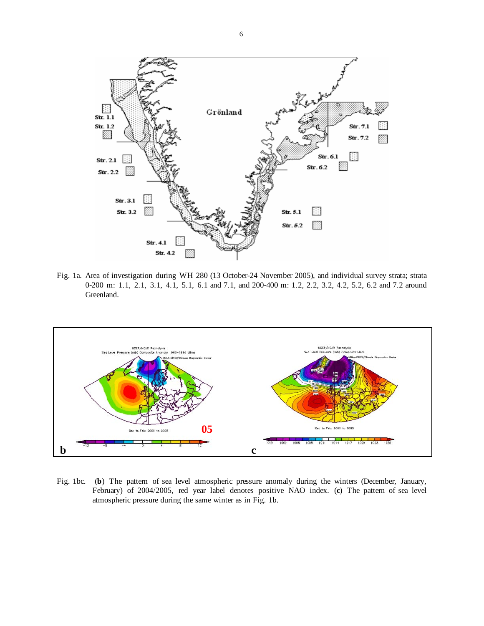

Fig. 1a. Area of investigation during WH 280 (13 October-24 November 2005), and individual survey strata; strata 0-200 m: 1.1, 2.1, 3.1, 4.1, 5.1, 6.1 and 7.1, and 200-400 m: 1.2, 2.2, 3.2, 4.2, 5.2, 6.2 and 7.2 around Greenland.



Fig. 1bc. (**b**) The pattern of sea level atmospheric pressure anomaly during the winters (December, January, February) of 2004/2005, red year label denotes positive NAO index. (**c**) The pattern of sea level atmospheric pressure during the same winter as in Fig. 1b.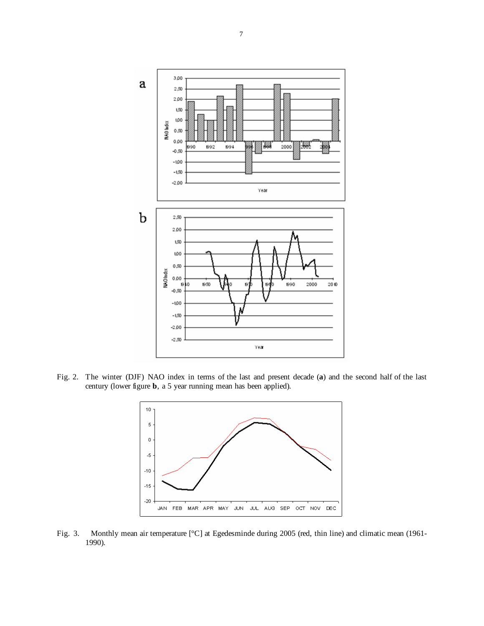

Fig. 2. The winter (DJF) NAO index in terms of the last and present decade (**a**) and the second half of the last century (lower figure **b**, a 5 year running mean has been applied).



Fig. 3. Monthly mean air temperature [°C] at Egedesminde during 2005 (red, thin line) and climatic mean (1961- 1990).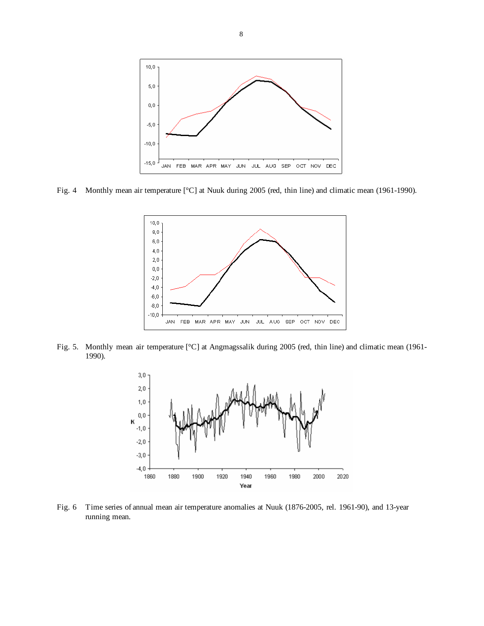

Fig. 4 Monthly mean air temperature [°C] at Nuuk during 2005 (red, thin line) and climatic mean (1961-1990).



Fig. 5. Monthly mean air temperature [°C] at Angmagssalik during 2005 (red, thin line) and climatic mean (1961- 1990).



Fig. 6 Time series of annual mean air temperature anomalies at Nuuk (1876-2005, rel. 1961-90), and 13-year running mean.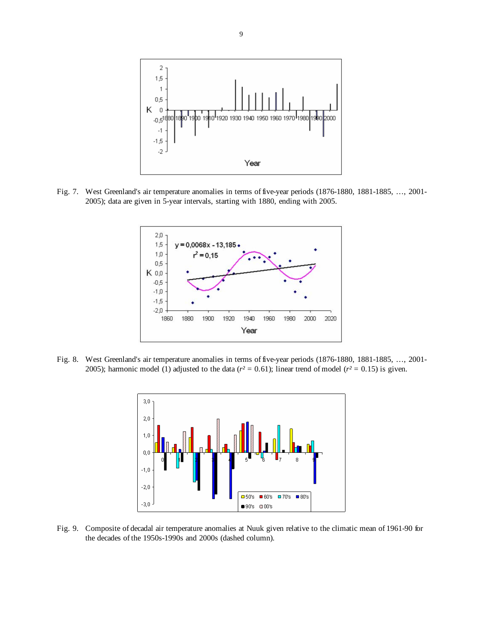

Fig. 7. West Greenland's air temperature anomalies in terms of five-year periods (1876-1880, 1881-1885, …, 2001- 2005); data are given in 5-year intervals, starting with 1880, ending with 2005.



Fig. 8. West Greenland's air temperature anomalies in terms of five-year periods (1876-1880, 1881-1885, …, 2001- 2005); harmonic model (1) adjusted to the data ( $r^2 = 0.61$ ); linear trend of model ( $r^2 = 0.15$ ) is given.



Fig. 9. Composite of decadal air temperature anomalies at Nuuk given relative to the climatic mean of 1961-90 for the decades of the 1950s-1990s and 2000s (dashed column).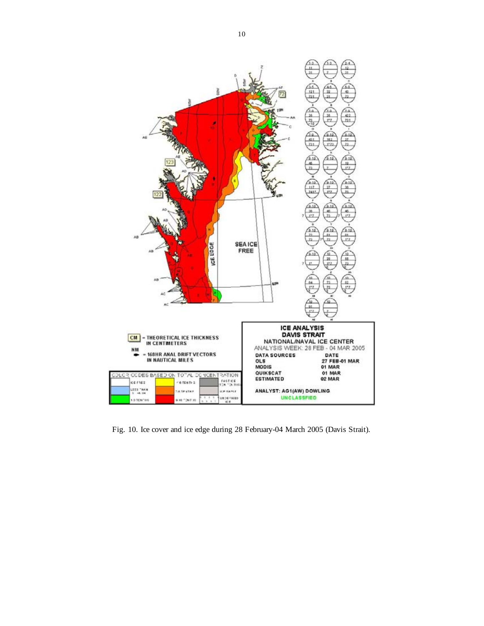

Fig. 10. Ice cover and ice edge during 28 February-04 March 2005 (Davis Strait).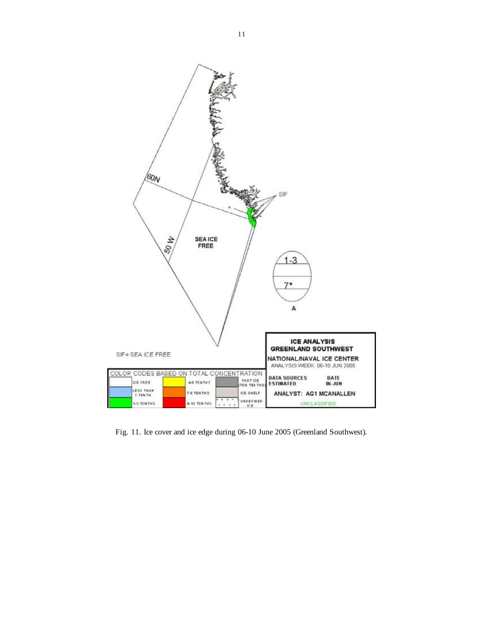

Fig. 11. Ice cover and ice edge during 06-10 June 2005 (Greenland Southwest).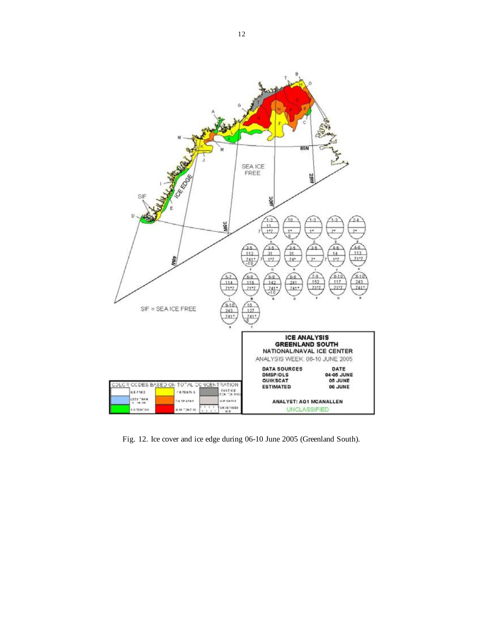

Fig. 12. Ice cover and ice edge during 06-10 June 2005 (Greenland South).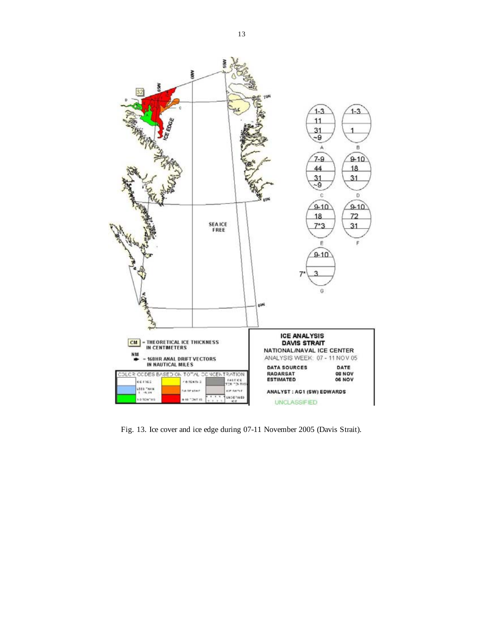

Fig. 13. Ice cover and ice edge during 07-11 November 2005 (Davis Strait).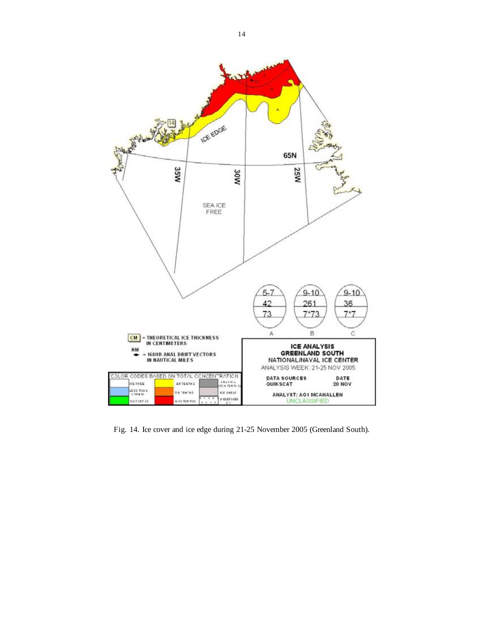

Fig. 14. Ice cover and ice edge during 21-25 November 2005 (Greenland South).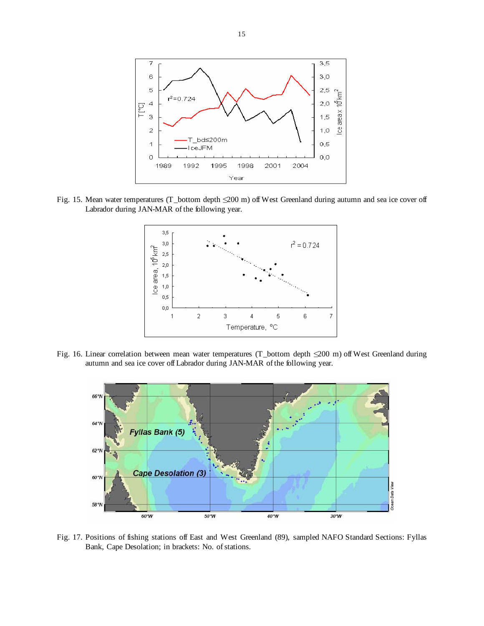

Fig. 15. Mean water temperatures (T\_bottom depth ≤200 m) off West Greenland during autumn and sea ice cover off Labrador during JAN-MAR of the following year.



Fig. 16. Linear correlation between mean water temperatures (T\_bottom depth ≤200 m) off West Greenland during autumn and sea ice cover off Labrador during JAN-MAR of the following year.



Fig. 17. Positions of fishing stations off East and West Greenland (89), sampled NAFO Standard Sections: Fyllas Bank, Cape Desolation; in brackets: No. of stations.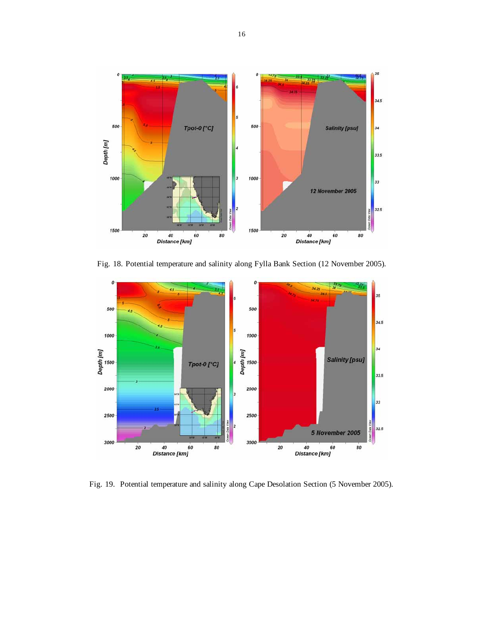

Fig. 18. Potential temperature and salinity along Fylla Bank Section (12 November 2005).



Fig. 19. Potential temperature and salinity along Cape Desolation Section (5 November 2005).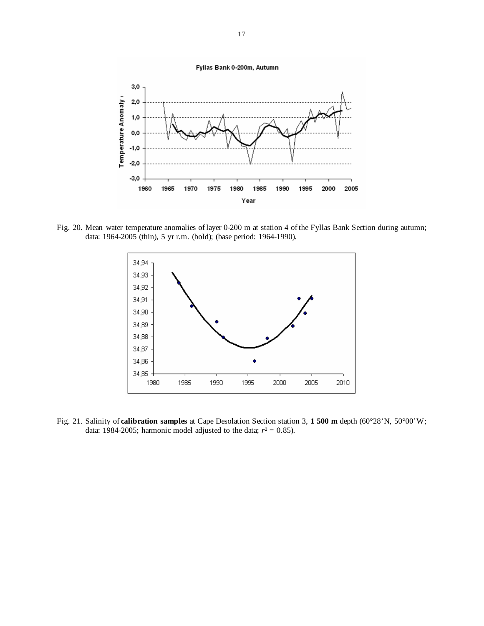

Fig. 20. Mean water temperature anomalies of layer 0-200 m at station 4 of the Fyllas Bank Section during autumn; data: 1964-2005 (thin), 5 yr r.m. (bold); (base period: 1964-1990).



Fig. 21. Salinity of **calibration samples** at Cape Desolation Section station 3, **1 500 m** depth (60°28'N, 50°00'W; data: 1984-2005; harmonic model adjusted to the data;  $r^2 = 0.85$ ).